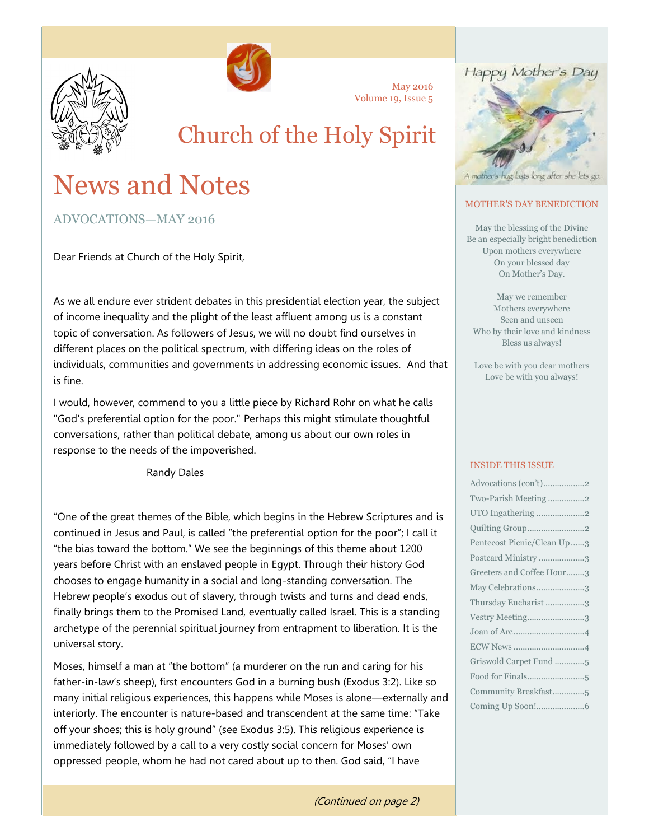



May 2016 Volume 19, Issue 5

# Church of the Holy Spirit

# News and Notes

ADVOCATIONS—MAY 2016

Dear Friends at Church of the Holy Spirit,

As we all endure ever strident debates in this presidential election year, the subject of income inequality and the plight of the least affluent among us is a constant topic of conversation. As followers of Jesus, we will no doubt find ourselves in different places on the political spectrum, with differing ideas on the roles of individuals, communities and governments in addressing economic issues. And that is fine.

I would, however, commend to you a little piece by Richard Rohr on what he calls "God's preferential option for the poor." Perhaps this might stimulate thoughtful conversations, rather than political debate, among us about our own roles in response to the needs of the impoverished.

Randy Dales

"One of the great themes of the Bible, which begins in the Hebrew Scriptures and is continued in Jesus and Paul, is called "the preferential option for the poor"; I call it "the bias toward the bottom." We see the beginnings of this theme about 1200 years before Christ with an enslaved people in Egypt. Through their history God chooses to engage humanity in a social and long-standing conversation. The Hebrew people's exodus out of slavery, through twists and turns and dead ends, finally brings them to the Promised Land, eventually called Israel. This is a standing archetype of the perennial spiritual journey from entrapment to liberation. It is the universal story.

Moses, himself a man at "the bottom" (a murderer on the run and caring for his father-in-law's sheep), first encounters God in a burning bush (Exodus 3:2). Like so many initial religious experiences, this happens while Moses is alone—externally and interiorly. The encounter is nature-based and transcendent at the same time: "Take off your shoes; this is holy ground" (see Exodus 3:5). This religious experience is immediately followed by a call to a very costly social concern for Moses' own oppressed people, whom he had not cared about up to then. God said, "I have

(Continued on page 2)



#### MOTHER'S DAY BENEDICTION

May the blessing of the Divine Be an especially bright benediction Upon mothers everywhere On your blessed day On Mother's Day.

May we remember Mothers everywhere Seen and unseen Who by their love and kindness Bless us always!

Love be with you dear mothers Love be with you always!

#### INSIDE THIS ISSUE

| Advocations (con't)2       |  |
|----------------------------|--|
| Two-Parish Meeting2        |  |
| UTO Ingathering 2          |  |
|                            |  |
| Pentecost Picnic/Clean Up3 |  |
| Postcard Ministry 3        |  |
| Greeters and Coffee Hour3  |  |
| May Celebrations3          |  |
| Thursday Eucharist 3       |  |
| Vestry Meeting3            |  |
|                            |  |
|                            |  |
| Griswold Carpet Fund 5     |  |
|                            |  |
| Community Breakfast5       |  |
|                            |  |
|                            |  |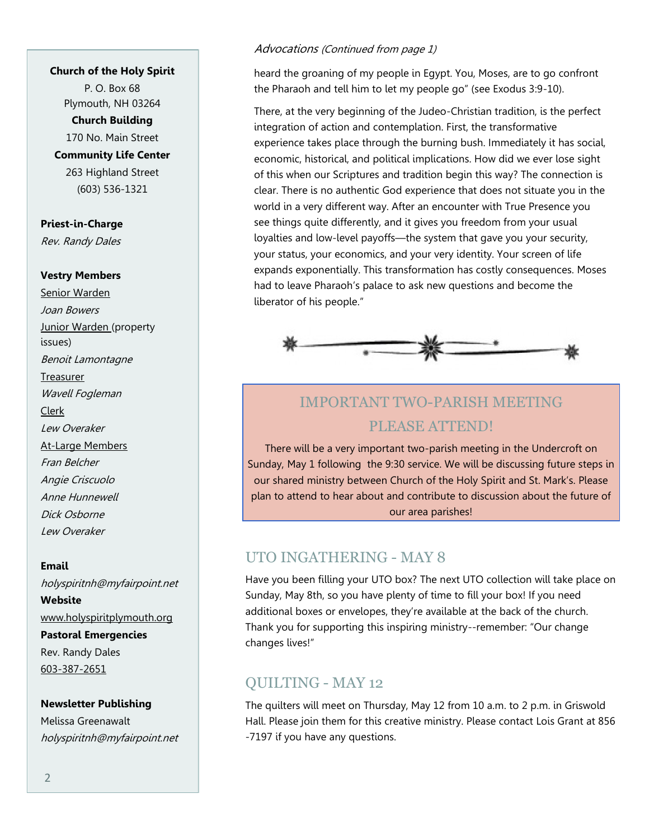#### **Church of the Holy Spirit**

P. O. Box 68 Plymouth, NH 03264

**Church Building**

170 No. Main Street **Community Life Center** 263 Highland Street

(603) 536-1321

**Priest-in-Charge** Rev. Randy Dales

#### **Vestry Members**

Senior Warden Joan Bowers Junior Warden (property issues) Benoit Lamontagne Treasurer Wavell Fogleman Clerk Lew Overaker At-Large Members Fran Belcher Angie Criscuolo Anne Hunnewell Dick Osborne Lew Overaker

**Email** holyspiritnh@myfairpoint.net **Website** www.holyspiritplymouth.org **Pastoral Emergencies** Rev. Randy Dales 603-387-2651

#### **Newsletter Publishing**

Melissa Greenawalt holyspiritnh@myfairpoint.net

#### Advocations (Continued from page 1)

heard the groaning of my people in Egypt. You, Moses, are to go confront the Pharaoh and tell him to let my people go" (see Exodus 3:9-10).

There, at the very beginning of the Judeo-Christian tradition, is the perfect integration of action and contemplation. First, the transformative experience takes place through the burning bush. Immediately it has social, economic, historical, and political implications. How did we ever lose sight of this when our Scriptures and tradition begin this way? The connection is clear. There is no authentic God experience that does not situate you in the world in a very different way. After an encounter with True Presence you see things quite differently, and it gives you freedom from your usual loyalties and low-level payoffs—the system that gave you your security, your status, your economics, and your very identity. Your screen of life expands exponentially. This transformation has costly consequences. Moses had to leave Pharaoh's palace to ask new questions and become the liberator of his people."



# IMPORTANT TWO-PARISH MEETING PLEASE ATTEND!

There will be a very important two-parish meeting in the Undercroft on Sunday, May 1 following the 9:30 service. We will be discussing future steps in our shared ministry between Church of the Holy Spirit and St. Mark's. Please plan to attend to hear about and contribute to discussion about the future of our area parishes!

## UTO INGATHERING - MAY 8

Have you been filling your UTO box? The next UTO collection will take place on Sunday, May 8th, so you have plenty of time to fill your box! If you need additional boxes or envelopes, they're available at the back of the church. Thank you for supporting this inspiring ministry--remember: "Our change changes lives!"

## QUILTING - MAY 12

The quilters will meet on Thursday, May 12 from 10 a.m. to 2 p.m. in Griswold Hall. Please join them for this creative ministry. Please contact Lois Grant at 856 -7197 if you have any questions.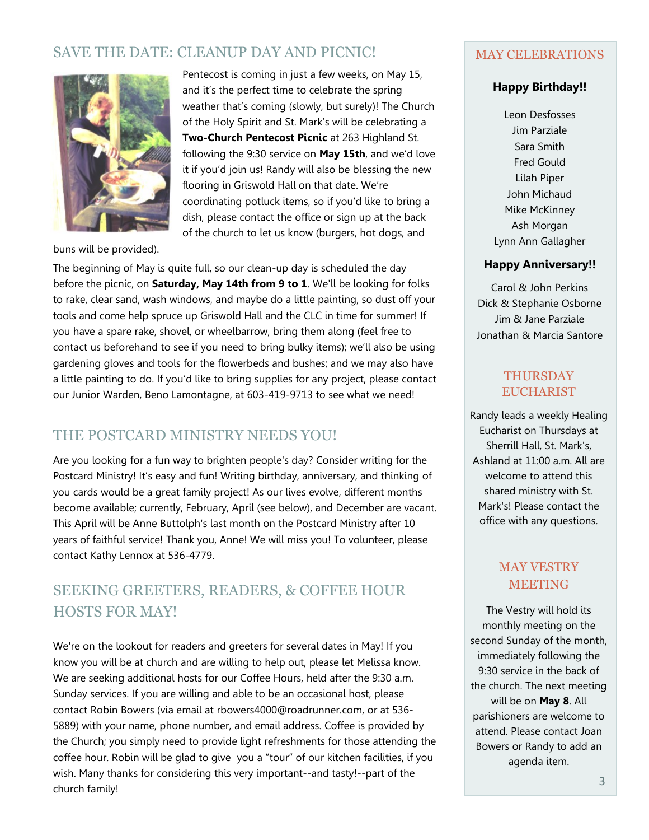# SAVE THE DATE: CLEANUP DAY AND PICNIC!



Pentecost is coming in just a few weeks, on May 15, and it's the perfect time to celebrate the spring weather that's coming (slowly, but surely)! The Church of the Holy Spirit and St. Mark's will be celebrating a **Two-Church Pentecost Picnic** at 263 Highland St. following the 9:30 service on **May 15th**, and we'd love it if you'd join us! Randy will also be blessing the new flooring in Griswold Hall on that date. We're coordinating potluck items, so if you'd like to bring a dish, please contact the office or sign up at the back of the church to let us know (burgers, hot dogs, and

buns will be provided).

The beginning of May is quite full, so our clean-up day is scheduled the day before the picnic, on **Saturday, May 14th from 9 to 1**. We'll be looking for folks to rake, clear sand, wash windows, and maybe do a little painting, so dust off your tools and come help spruce up Griswold Hall and the CLC in time for summer! If you have a spare rake, shovel, or wheelbarrow, bring them along (feel free to contact us beforehand to see if you need to bring bulky items); we'll also be using gardening gloves and tools for the flowerbeds and bushes; and we may also have a little painting to do. If you'd like to bring supplies for any project, please contact our Junior Warden, Beno Lamontagne, at 603-419-9713 to see what we need!

## THE POSTCARD MINISTRY NEEDS YOU!

Are you looking for a fun way to brighten people's day? Consider writing for the Postcard Ministry! It's easy and fun! Writing birthday, anniversary, and thinking of you cards would be a great family project! As our lives evolve, different months become available; currently, February, April (see below), and December are vacant. This April will be Anne Buttolph's last month on the Postcard Ministry after 10 years of faithful service! Thank you, Anne! We will miss you! To volunteer, please contact Kathy Lennox at 536-4779.

# SEEKING GREETERS, READERS, & COFFEE HOUR HOSTS FOR MAY!

We're on the lookout for readers and greeters for several dates in May! If you know you will be at church and are willing to help out, please let Melissa know. We are seeking additional hosts for our Coffee Hours, held after the 9:30 a.m. Sunday services. If you are willing and able to be an occasional host, please contact Robin Bowers (via email at rbowers4000@roadrunner.com, or at 536-5889) with your name, phone number, and email address. Coffee is provided by the Church; you simply need to provide light refreshments for those attending the coffee hour. Robin will be glad to give you a "tour" of our kitchen facilities, if you wish. Many thanks for considering this very important--and tasty!--part of the church family!

#### MAY CELEBRATIONS

#### **Happy Birthday!!**

Leon Desfosses Jim Parziale Sara Smith Fred Gould Lilah Piper John Michaud Mike McKinney Ash Morgan Lynn Ann Gallagher

#### **Happy Anniversary!!**

Carol & John Perkins Dick & Stephanie Osborne Jim & Jane Parziale Jonathan & Marcia Santore

#### THURSDAY **EUCHARIST**

Randy leads a weekly Healing Eucharist on Thursdays at Sherrill Hall, St. Mark's, Ashland at 11:00 a.m. All are welcome to attend this shared ministry with St. Mark's! Please contact the office with any questions.

## MAY VESTRY MEETING

The Vestry will hold its monthly meeting on the second Sunday of the month, immediately following the 9:30 service in the back of the church. The next meeting will be on **May 8**. All parishioners are welcome to attend. Please contact Joan Bowers or Randy to add an agenda item.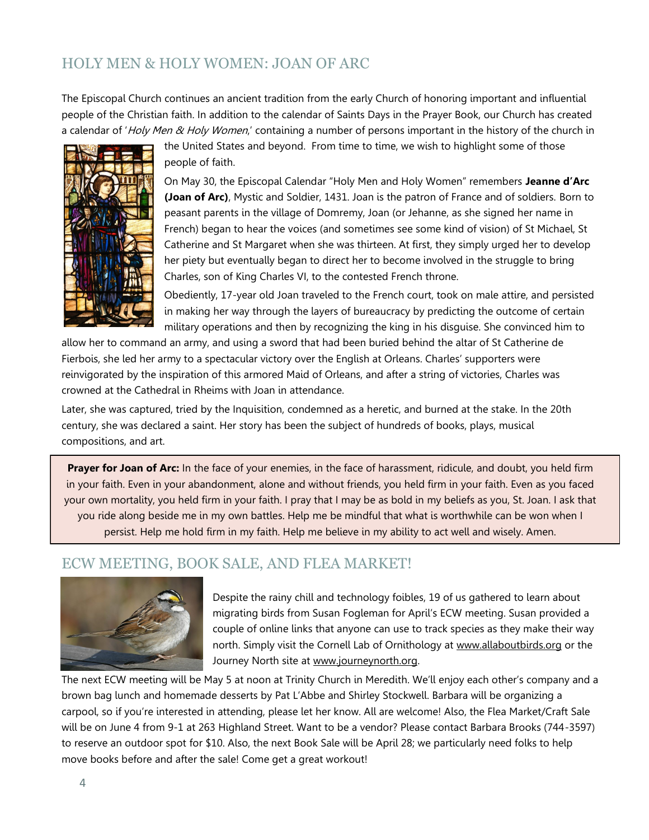# [HOLY MEN & HOLY WOMEN: JOAN OF ARC](http://www.lentmadness.org/wp-content/uploads/2016/03/unnamed-3-2.jpg)

The [Episcopal Church](https://en.wikipedia.org/wiki/Episcopal_Church_(United_States)) continues an ancient tradition from the early Church of honoring important and influential people of the [Christian](https://en.wikipedia.org/wiki/Christian) faith. In addition to the calendar of Saints Days in the Prayer Book, our Church has created a calendar of 'Holy Men & Holy Women,' containing a number of persons important in the history of the church in



the United States and beyond. From time to time, we wish to highlight some of those people of faith.

On May 30, the Episcopal Calendar "Holy Men and Holy Women" remembers **Jeanne d'Arc (Joan of Arc)**, Mystic and Soldier, 1431. Joan is the patron of France and of soldiers. Born to peasant parents in the village of Domremy, Joan (or Jehanne, as she signed her name in French) began to hear the voices (and sometimes see some kind of vision) of St Michael, St Catherine and St Margaret when she was thirteen. At first, they simply urged her to develop her piety but eventually began to direct her to become involved in the struggle to bring Charles, son of King Charles VI, to the contested French throne.

Obediently, 17-year old Joan traveled to the French court, took on male attire, and persisted in making her way through the layers of bureaucracy by predicting the outcome of certain military operations and then by recognizing the king in his disguise. She convinced him to

allow her to command an army, and using a sword that had been buried behind the altar of St Catherine de Fierbois, she led her army to a spectacular victory over the English at Orleans. Charles' supporters were reinvigorated by the inspiration of this armored Maid of Orleans, and after a string of victories, Charles was crowned at the Cathedral in Rheims with Joan in attendance.

Later, she was captured, tried by the Inquisition, condemned as a heretic, and burned at the stake. In the 20th century, she was declared a saint. Her story has been the subject of hundreds of books, plays, musical compositions, and art.

**Prayer for Joan of Arc:** In the face of your enemies, in the face of harassment, ridicule, and doubt, you held firm in your faith. Even in your abandonment, alone and without friends, you held firm in your faith. Even as you faced your own mortality, you held firm in your faith. I pray that I may be as bold in my beliefs as you, St. Joan. I ask that you ride along beside me in my own battles. Help me be mindful that what is worthwhile can be won when I persist. Help me hold firm in my faith. Help me believe in my ability to act well and wisely. Amen.

## ECW MEETING, BOOK SALE, AND FLEA MARKET!



Despite the rainy chill and technology foibles, 19 of us gathered to learn about migrating birds from Susan Fogleman for April's ECW meeting. Susan provided a couple of online links that anyone can use to track species as they make their way north. Simply visit the Cornell Lab of Ornithology at www.allaboutbirds.org or the Journey North site at www.journeynorth.org.

The next ECW meeting will be May 5 at noon at Trinity Church in Meredith. We'll enjoy each other's company and a brown bag lunch and homemade desserts by Pat L'Abbe and Shirley Stockwell. Barbara will be organizing a carpool, so if you're interested in attending, please let her know. All are welcome! Also, the Flea Market/Craft Sale will be on June 4 from 9-1 at 263 Highland Street. Want to be a vendor? Please contact Barbara Brooks (744-3597) to reserve an outdoor spot for \$10. Also, the next Book Sale will be April 28; we particularly need folks to help move books before and after the sale! Come get a great workout!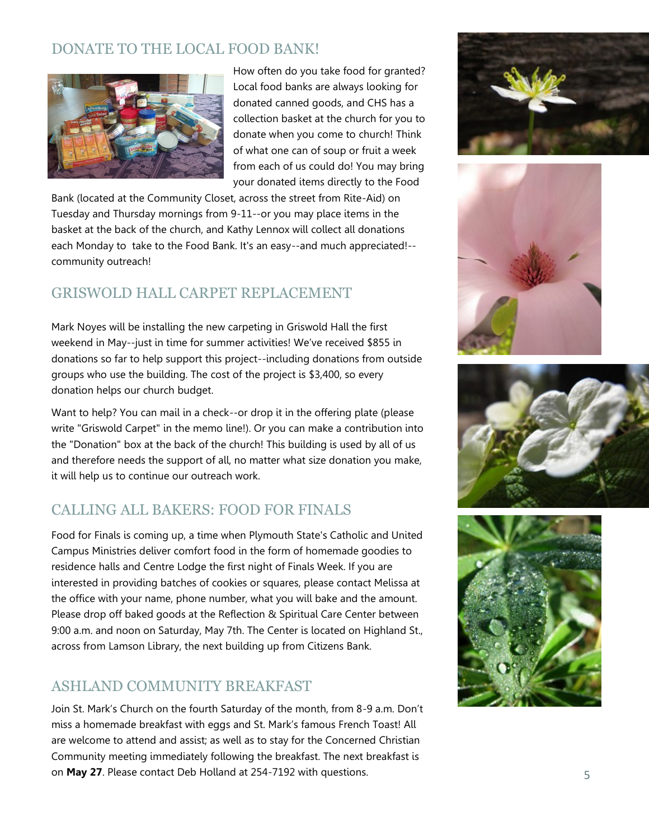# DONATE TO THE LOCAL FOOD BANK!



How often do you take food for granted? Local food banks are always looking for donated canned goods, and CHS has a collection basket at the church for you to donate when you come to church! Think of what one can of soup or fruit a week from each of us could do! You may bring your donated items directly to the Food

Bank (located at the Community Closet, across the street from Rite-Aid) on Tuesday and Thursday mornings from 9-11--or you may place items in the basket at the back of the church, and Kathy Lennox will collect all donations each Monday to take to the Food Bank. It's an easy--and much appreciated!- community outreach!

# GRISWOLD HALL CARPET REPLACEMENT

Mark Noyes will be installing the new carpeting in Griswold Hall the first weekend in May--just in time for summer activities! We've received \$855 in donations so far to help support this project--including donations from outside groups who use the building. The cost of the project is \$3,400, so every donation helps our church budget.

Want to help? You can mail in a check--or drop it in the offering plate (please write "Griswold Carpet" in the memo line!). Or you can make a contribution into the "Donation" box at the back of the church! This building is used by all of us and therefore needs the support of all, no matter what size donation you make, it will help us to continue our outreach work.

# CALLING ALL BAKERS: FOOD FOR FINALS

Food for Finals is coming up, a time when Plymouth State's Catholic and United Campus Ministries deliver comfort food in the form of homemade goodies to residence halls and Centre Lodge the first night of Finals Week. If you are interested in providing batches of cookies or squares, please contact Melissa at the office with your name, phone number, what you will bake and the amount. Please drop off baked goods at the Reflection & Spiritual Care Center between 9:00 a.m. and noon on Saturday, May 7th. The Center is located on Highland St., across from Lamson Library, the next building up from Citizens Bank.

## ASHLAND COMMUNITY BREAKFAST

Join St. Mark's Church on the fourth Saturday of the month, from 8-9 a.m. Don't miss a homemade breakfast with eggs and St. Mark's famous French Toast! All are welcome to attend and assist; as well as to stay for the Concerned Christian Community meeting immediately following the breakfast. The next breakfast is on **May 27**. Please contact Deb Holland at 254-7192 with questions.  $\overline{5}$